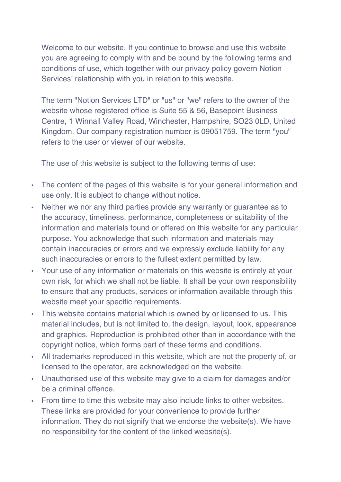Welcome to our website. If you continue to browse and use this website you are agreeing to comply with and be bound by the following terms and conditions of use, which together with our privacy policy govern Notion Services' relationship with you in relation to this website.

The term "Notion Services LTD" or "us" or "we" refers to the owner of the website whose registered office is Suite 55 & 56, Basepoint Business Centre, 1 Winnall Valley Road, Winchester, Hampshire, SO23 0LD, United Kingdom. Our company registration number is 09051759. The term "you" refers to the user or viewer of our website.

The use of this website is subject to the following terms of use:

- The content of the pages of this website is for your general information and use only. It is subject to change without notice.
- Neither we nor any third parties provide any warranty or guarantee as to the accuracy, timeliness, performance, completeness or suitability of the information and materials found or offered on this website for any particular purpose. You acknowledge that such information and materials may contain inaccuracies or errors and we expressly exclude liability for any such inaccuracies or errors to the fullest extent permitted by law.
- Your use of any information or materials on this website is entirely at your own risk, for which we shall not be liable. It shall be your own responsibility to ensure that any products, services or information available through this website meet your specific requirements.
- This website contains material which is owned by or licensed to us. This material includes, but is not limited to, the design, layout, look, appearance and graphics. Reproduction is prohibited other than in accordance with the copyright notice, which forms part of these terms and conditions.
- All trademarks reproduced in this website, which are not the property of, or licensed to the operator, are acknowledged on the website.
- Unauthorised use of this website may give to a claim for damages and/or be a criminal offence.
- From time to time this website may also include links to other websites. These links are provided for your convenience to provide further information. They do not signify that we endorse the website(s). We have no responsibility for the content of the linked website(s).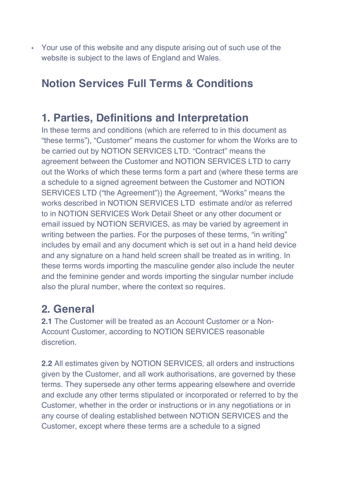• Your use of this website and any dispute arising out of such use of the website is subject to the laws of England and Wales.

# **Notion Services Full Terms & Conditions**

#### **1. Parties, Definitions and Interpretation**

In these terms and conditions (which are referred to in this document as "these terms"), "Customer" means the customer for whom the Works are to be carried out by NOTION SERVICES LTD. "Contract" means the agreement between the Customer and NOTION SERVICES LTD to carry out the Works of which these terms form a part and (where these terms are a schedule to a signed agreement between the Customer and NOTION SERVICES LTD ("the Agreement")) the Agreement, "Works" means the works described in NOTION SERVICES LTD estimate and/or as referred to in NOTION SERVICES Work Detail Sheet or any other document or email issued by NOTION SERVICES, as may be varied by agreement in writing between the parties. For the purposes of these terms, "in writing" includes by email and any document which is set out in a hand held device and any signature on a hand held screen shall be treated as in writing. In these terms words importing the masculine gender also include the neuter and the feminine gender and words importing the singular number include also the plural number, where the context so requires.

# **2. General**

**2.1** The Customer will be treated as an Account Customer or a Non-Account Customer, according to NOTION SERVICES reasonable discretion.

**2.2** All estimates given by NOTION SERVICES, all orders and instructions given by the Customer, and all work authorisations, are governed by these terms. They supersede any other terms appearing elsewhere and override and exclude any other terms stipulated or incorporated or referred to by the Customer, whether in the order or instructions or in any negotiations or in any course of dealing established between NOTION SERVICES and the Customer, except where these terms are a schedule to a signed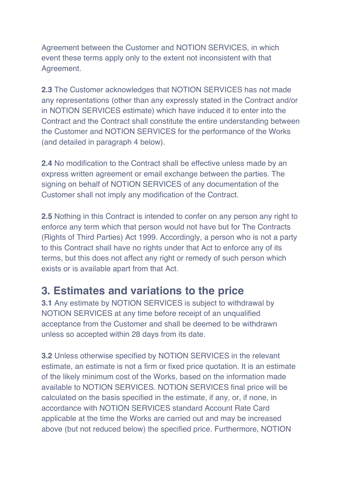Agreement between the Customer and NOTION SERVICES, in which event these terms apply only to the extent not inconsistent with that Agreement.

**2.3** The Customer acknowledges that NOTION SERVICES has not made any representations (other than any expressly stated in the Contract and/or in NOTION SERVICES estimate) which have induced it to enter into the Contract and the Contract shall constitute the entire understanding between the Customer and NOTION SERVICES for the performance of the Works (and detailed in paragraph 4 below).

**2.4** No modification to the Contract shall be effective unless made by an express written agreement or email exchange between the parties. The signing on behalf of NOTION SERVICES of any documentation of the Customer shall not imply any modification of the Contract.

**2.5** Nothing in this Contract is intended to confer on any person any right to enforce any term which that person would not have but for The Contracts (Rights of Third Parties) Act 1999. Accordingly, a person who is not a party to this Contract shall have no rights under that Act to enforce any of its terms, but this does not affect any right or remedy of such person which exists or is available apart from that Act.

#### **3. Estimates and variations to the price**

**3.1** Any estimate by NOTION SERVICES is subject to withdrawal by NOTION SERVICES at any time before receipt of an unqualified acceptance from the Customer and shall be deemed to be withdrawn unless so accepted within 28 days from its date.

**3.2** Unless otherwise specified by NOTION SERVICES in the relevant estimate, an estimate is not a firm or fixed price quotation. It is an estimate of the likely minimum cost of the Works, based on the information made available to NOTION SERVICES. NOTION SERVICES final price will be calculated on the basis specified in the estimate, if any, or, if none, in accordance with NOTION SERVICES standard Account Rate Card applicable at the time the Works are carried out and may be increased above (but not reduced below) the specified price. Furthermore, NOTION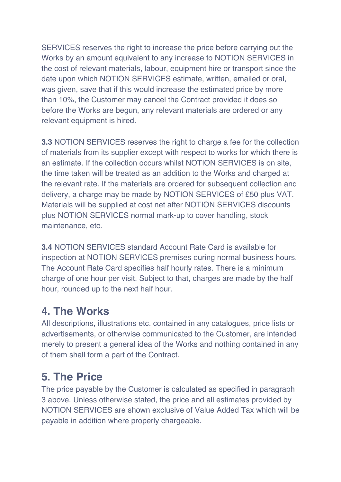SERVICES reserves the right to increase the price before carrying out the Works by an amount equivalent to any increase to NOTION SERVICES in the cost of relevant materials, labour, equipment hire or transport since the date upon which NOTION SERVICES estimate, written, emailed or oral, was given, save that if this would increase the estimated price by more than 10%, the Customer may cancel the Contract provided it does so before the Works are begun, any relevant materials are ordered or any relevant equipment is hired.

**3.3** NOTION SERVICES reserves the right to charge a fee for the collection of materials from its supplier except with respect to works for which there is an estimate. If the collection occurs whilst NOTION SERVICES is on site, the time taken will be treated as an addition to the Works and charged at the relevant rate. If the materials are ordered for subsequent collection and delivery, a charge may be made by NOTION SERVICES of £50 plus VAT. Materials will be supplied at cost net after NOTION SERVICES discounts plus NOTION SERVICES normal mark-up to cover handling, stock maintenance, etc.

**3.4** NOTION SERVICES standard Account Rate Card is available for inspection at NOTION SERVICES premises during normal business hours. The Account Rate Card specifies half hourly rates. There is a minimum charge of one hour per visit. Subject to that, charges are made by the half hour, rounded up to the next half hour.

## **4. The Works**

All descriptions, illustrations etc. contained in any catalogues, price lists or advertisements, or otherwise communicated to the Customer, are intended merely to present a general idea of the Works and nothing contained in any of them shall form a part of the Contract.

## **5. The Price**

The price payable by the Customer is calculated as specified in paragraph 3 above. Unless otherwise stated, the price and all estimates provided by NOTION SERVICES are shown exclusive of Value Added Tax which will be payable in addition where properly chargeable.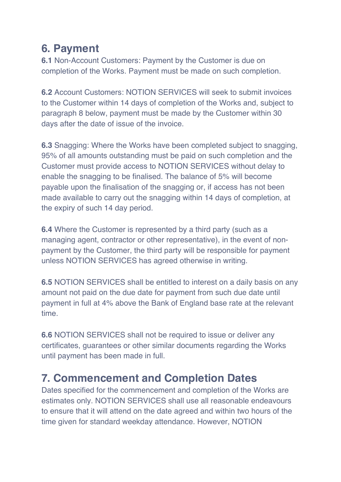# **6. Payment**

**6.1** Non-Account Customers: Payment by the Customer is due on completion of the Works. Payment must be made on such completion.

**6.2** Account Customers: NOTION SERVICES will seek to submit invoices to the Customer within 14 days of completion of the Works and, subject to paragraph 8 below, payment must be made by the Customer within 30 days after the date of issue of the invoice.

**6.3** Snagging: Where the Works have been completed subject to snagging, 95% of all amounts outstanding must be paid on such completion and the Customer must provide access to NOTION SERVICES without delay to enable the snagging to be finalised. The balance of 5% will become payable upon the finalisation of the snagging or, if access has not been made available to carry out the snagging within 14 days of completion, at the expiry of such 14 day period.

**6.4** Where the Customer is represented by a third party (such as a managing agent, contractor or other representative), in the event of nonpayment by the Customer, the third party will be responsible for payment unless NOTION SERVICES has agreed otherwise in writing.

**6.5** NOTION SERVICES shall be entitled to interest on a daily basis on any amount not paid on the due date for payment from such due date until payment in full at 4% above the Bank of England base rate at the relevant time.

**6.6** NOTION SERVICES shall not be required to issue or deliver any certificates, guarantees or other similar documents regarding the Works until payment has been made in full.

## **7. Commencement and Completion Dates**

Dates specified for the commencement and completion of the Works are estimates only. NOTION SERVICES shall use all reasonable endeavours to ensure that it will attend on the date agreed and within two hours of the time given for standard weekday attendance. However, NOTION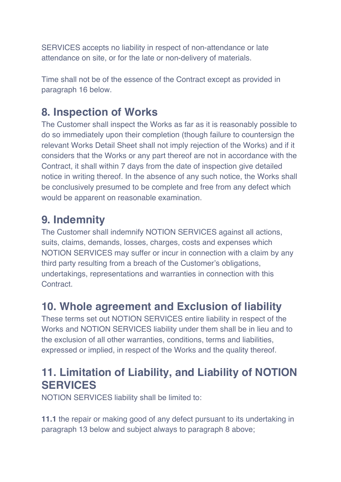SERVICES accepts no liability in respect of non-attendance or late attendance on site, or for the late or non-delivery of materials.

Time shall not be of the essence of the Contract except as provided in paragraph 16 below.

## **8. Inspection of Works**

The Customer shall inspect the Works as far as it is reasonably possible to do so immediately upon their completion (though failure to countersign the relevant Works Detail Sheet shall not imply rejection of the Works) and if it considers that the Works or any part thereof are not in accordance with the Contract, it shall within 7 days from the date of inspection give detailed notice in writing thereof. In the absence of any such notice, the Works shall be conclusively presumed to be complete and free from any defect which would be apparent on reasonable examination.

## **9. Indemnity**

The Customer shall indemnify NOTION SERVICES against all actions, suits, claims, demands, losses, charges, costs and expenses which NOTION SERVICES may suffer or incur in connection with a claim by any third party resulting from a breach of the Customer's obligations, undertakings, representations and warranties in connection with this **Contract** 

## **10. Whole agreement and Exclusion of liability**

These terms set out NOTION SERVICES entire liability in respect of the Works and NOTION SERVICES liability under them shall be in lieu and to the exclusion of all other warranties, conditions, terms and liabilities, expressed or implied, in respect of the Works and the quality thereof.

# **11. Limitation of Liability, and Liability of NOTION SERVICES**

NOTION SERVICES liability shall be limited to:

**11.1** the repair or making good of any defect pursuant to its undertaking in paragraph 13 below and subject always to paragraph 8 above;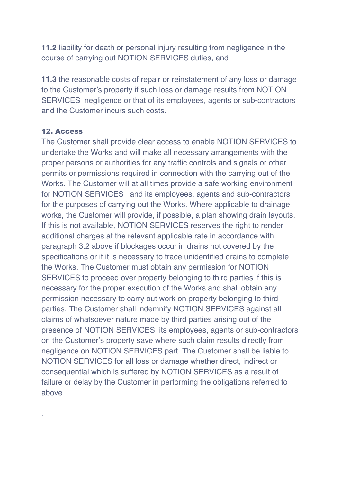**11.2** liability for death or personal injury resulting from negligence in the course of carrying out NOTION SERVICES duties, and

**11.3** the reasonable costs of repair or reinstatement of any loss or damage to the Customer's property if such loss or damage results from NOTION SERVICES negligence or that of its employees, agents or sub-contractors and the Customer incurs such costs.

#### 12. Access

.

The Customer shall provide clear access to enable NOTION SERVICES to undertake the Works and will make all necessary arrangements with the proper persons or authorities for any traffic controls and signals or other permits or permissions required in connection with the carrying out of the Works. The Customer will at all times provide a safe working environment for NOTION SERVICES and its employees, agents and sub-contractors for the purposes of carrying out the Works. Where applicable to drainage works, the Customer will provide, if possible, a plan showing drain layouts. If this is not available, NOTION SERVICES reserves the right to render additional charges at the relevant applicable rate in accordance with paragraph 3.2 above if blockages occur in drains not covered by the specifications or if it is necessary to trace unidentified drains to complete the Works. The Customer must obtain any permission for NOTION SERVICES to proceed over property belonging to third parties if this is necessary for the proper execution of the Works and shall obtain any permission necessary to carry out work on property belonging to third parties. The Customer shall indemnify NOTION SERVICES against all claims of whatsoever nature made by third parties arising out of the presence of NOTION SERVICES its employees, agents or sub-contractors on the Customer's property save where such claim results directly from negligence on NOTION SERVICES part. The Customer shall be liable to NOTION SERVICES for all loss or damage whether direct, indirect or consequential which is suffered by NOTION SERVICES as a result of failure or delay by the Customer in performing the obligations referred to above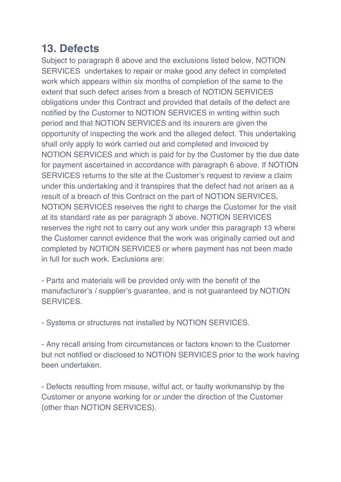## **13. Defects**

Subject to paragraph 8 above and the exclusions listed below, NOTION SERVICES undertakes to repair or make good any defect in completed work which appears within six months of completion of the same to the extent that such defect arises from a breach of NOTION SERVICES obligations under this Contract and provided that details of the defect are notified by the Customer to NOTION SERVICES in writing within such period and that NOTION SERVICES and its insurers are given the opportunity of inspecting the work and the alleged defect. This undertaking shall only apply to work carried out and completed and invoiced by NOTION SERVICES and which is paid for by the Customer by the due date for payment ascertained in accordance with paragraph 6 above. If NOTION SERVICES returns to the site at the Customer's request to review a claim under this undertaking and it transpires that the defect had not arisen as a result of a breach of this Contract on the part of NOTION SERVICES, NOTION SERVICES reserves the right to charge the Customer for the visit at its standard rate as per paragraph 3 above. NOTION SERVICES reserves the right not to carry out any work under this paragraph 13 where the Customer cannot evidence that the work was originally carried out and completed by NOTION SERVICES or where payment has not been made in full for such work. Exclusions are:

- Parts and materials will be provided only with the benefit of the manufacturer's / supplier's guarantee, and is not guaranteed by NOTION SERVICES.

- Systems or structures not installed by NOTION SERVICES.

- Any recall arising from circumstances or factors known to the Customer but not notified or disclosed to NOTION SERVICES prior to the work having been undertaken.

- Defects resulting from misuse, wilful act, or faulty workmanship by the Customer or anyone working for or under the direction of the Customer (other than NOTION SERVICES).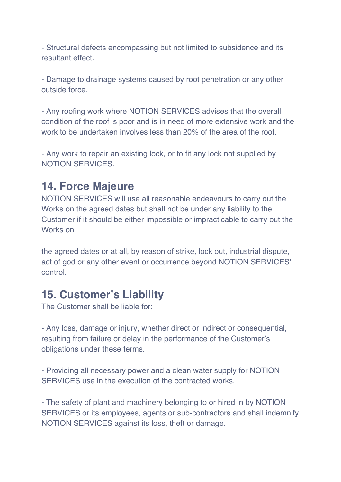- Structural defects encompassing but not limited to subsidence and its resultant effect.

- Damage to drainage systems caused by root penetration or any other outside force.

- Any roofing work where NOTION SERVICES advises that the overall condition of the roof is poor and is in need of more extensive work and the work to be undertaken involves less than 20% of the area of the roof.

- Any work to repair an existing lock, or to fit any lock not supplied by NOTION SERVICES.

#### **14. Force Majeure**

NOTION SERVICES will use all reasonable endeavours to carry out the Works on the agreed dates but shall not be under any liability to the Customer if it should be either impossible or impracticable to carry out the Works on

the agreed dates or at all, by reason of strike, lock out, industrial dispute, act of god or any other event or occurrence beyond NOTION SERVICES' control.

#### **15. Customer's Liability**

The Customer shall be liable for:

- Any loss, damage or injury, whether direct or indirect or consequential, resulting from failure or delay in the performance of the Customer's obligations under these terms.

- Providing all necessary power and a clean water supply for NOTION SERVICES use in the execution of the contracted works.

- The safety of plant and machinery belonging to or hired in by NOTION SERVICES or its employees, agents or sub-contractors and shall indemnify NOTION SERVICES against its loss, theft or damage.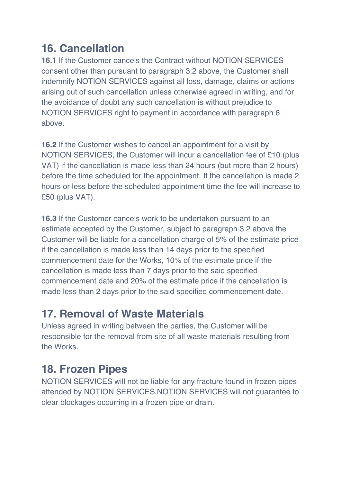# **16. Cancellation**

**16.1** If the Customer cancels the Contract without NOTION SERVICES consent other than pursuant to paragraph 3.2 above, the Customer shall indemnify NOTION SERVICES against all loss, damage, claims or actions arising out of such cancellation unless otherwise agreed in writing, and for the avoidance of doubt any such cancellation is without prejudice to NOTION SERVICES right to payment in accordance with paragraph 6 above.

**16.2** If the Customer wishes to cancel an appointment for a visit by NOTION SERVICES, the Customer will incur a cancellation fee of £10 (plus VAT) if the cancellation is made less than 24 hours (but more than 2 hours) before the time scheduled for the appointment. If the cancellation is made 2 hours or less before the scheduled appointment time the fee will increase to £50 (plus VAT).

**16.3** If the Customer cancels work to be undertaken pursuant to an estimate accepted by the Customer, subject to paragraph 3.2 above the Customer will be liable for a cancellation charge of 5% of the estimate price if the cancellation is made less than 14 days prior to the specified commencement date for the Works, 10% of the estimate price if the cancellation is made less than 7 days prior to the said specified commencement date and 20% of the estimate price if the cancellation is made less than 2 days prior to the said specified commencement date.

## **17. Removal of Waste Materials**

Unless agreed in writing between the parties, the Customer will be responsible for the removal from site of all waste materials resulting from the Works.

# **18. Frozen Pipes**

NOTION SERVICES will not be liable for any fracture found in frozen pipes attended by NOTION SERVICES.NOTION SERVICES will not guarantee to clear blockages occurring in a frozen pipe or drain.